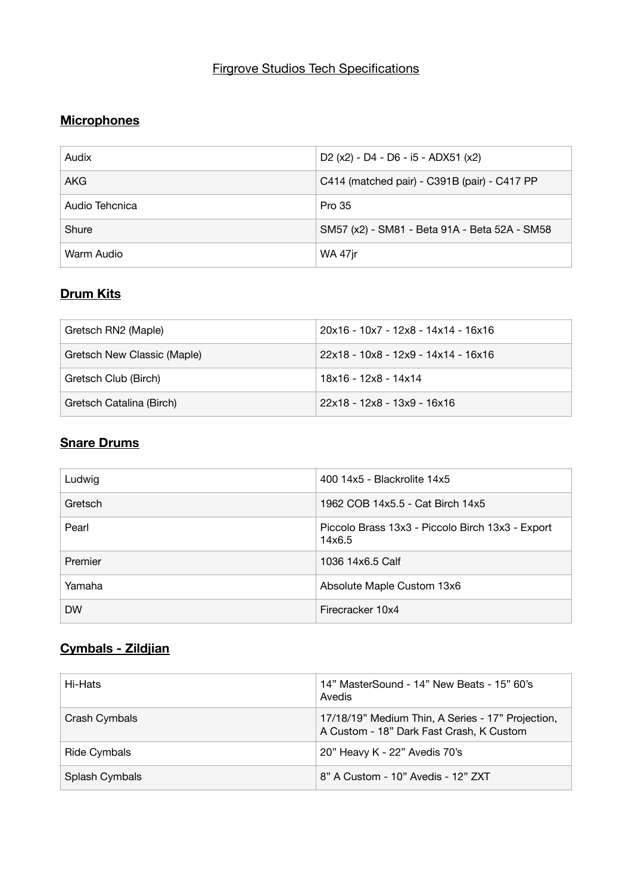### Firgrove Studios Tech Specifications

#### **Microphones**

| Audix          | D <sub>2</sub> (x <sub>2</sub> ) - D <sub>4</sub> - D <sub>6</sub> - i <sub>5</sub> - AD <sub>X51</sub> (x <sub>2</sub> ) |
|----------------|---------------------------------------------------------------------------------------------------------------------------|
| <b>AKG</b>     | C414 (matched pair) - C391B (pair) - C417 PP                                                                              |
| Audio Tehcnica | Pro 35                                                                                                                    |
| Shure          | SM57 (x2) - SM81 - Beta 91A - Beta 52A - SM58                                                                             |
| Warm Audio     | <b>WA 47jr</b>                                                                                                            |

# **Drum Kits**

| Gretsch RN2 (Maple)         | 20x16 - 10x7 - 12x8 - 14x14 - 16x16 |
|-----------------------------|-------------------------------------|
| Gretsch New Classic (Maple) | 22x18 - 10x8 - 12x9 - 14x14 - 16x16 |
| Gretsch Club (Birch)        | 18x16 - 12x8 - 14x14                |
| Gretsch Catalina (Birch)    | 22x18 - 12x8 - 13x9 - 16x16         |

#### **Snare Drums**

| Ludwig    | 400 14x5 - Blackrolite 14x5                                |
|-----------|------------------------------------------------------------|
| Gretsch   | 1962 COB 14x5.5 - Cat Birch 14x5                           |
| Pearl     | Piccolo Brass 13x3 - Piccolo Birch 13x3 - Export<br>14x6.5 |
| Premier   | 1036 14x6.5 Calf                                           |
| Yamaha    | Absolute Maple Custom 13x6                                 |
| <b>DW</b> | Firecracker 10x4                                           |

# **Cymbals - Zildjian**

| Hi-Hats        | 14" MasterSound - 14" New Beats - 15" 60's<br>Avedis                                          |
|----------------|-----------------------------------------------------------------------------------------------|
| Crash Cymbals  | 17/18/19" Medium Thin, A Series - 17" Projection,<br>A Custom - 18" Dark Fast Crash, K Custom |
| Ride Cymbals   | 20" Heavy K - 22" Avedis 70's                                                                 |
| Splash Cymbals | 8" A Custom - 10" Avedis - 12" ZXT                                                            |